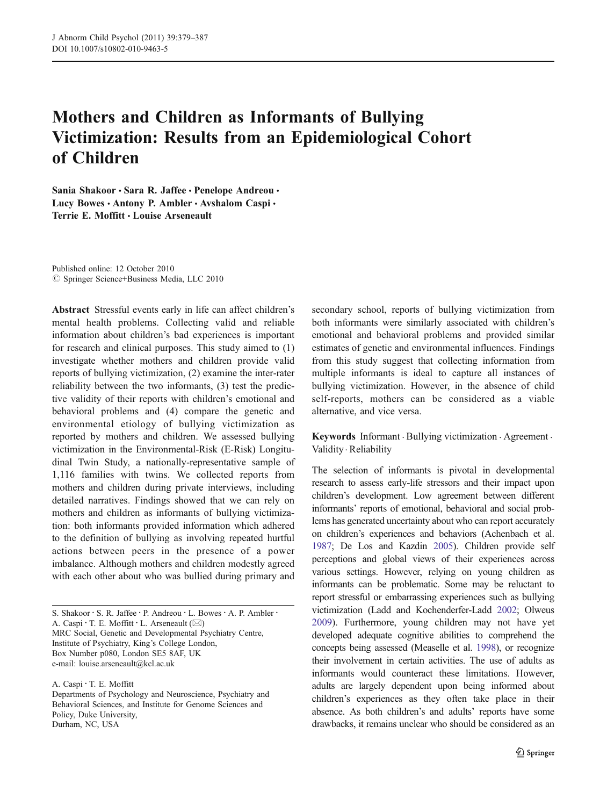# Mothers and Children as Informants of Bullying Victimization: Results from an Epidemiological Cohort of Children

Sania Shakoor · Sara R. Jaffee · Penelope Andreou · Lucy Bowes · Antony P. Ambler · Avshalom Caspi · Terrie E. Moffitt · Louise Arseneault

Published online: 12 October 2010  $\circledcirc$  Springer Science+Business Media, LLC 2010

Abstract Stressful events early in life can affect children's mental health problems. Collecting valid and reliable information about children's bad experiences is important for research and clinical purposes. This study aimed to (1) investigate whether mothers and children provide valid reports of bullying victimization, (2) examine the inter-rater reliability between the two informants, (3) test the predictive validity of their reports with children's emotional and behavioral problems and (4) compare the genetic and environmental etiology of bullying victimization as reported by mothers and children. We assessed bullying victimization in the Environmental-Risk (E-Risk) Longitudinal Twin Study, a nationally-representative sample of 1,116 families with twins. We collected reports from mothers and children during private interviews, including detailed narratives. Findings showed that we can rely on mothers and children as informants of bullying victimization: both informants provided information which adhered to the definition of bullying as involving repeated hurtful actions between peers in the presence of a power imbalance. Although mothers and children modestly agreed with each other about who was bullied during primary and

A. Caspi : T. E. Moffitt

secondary school, reports of bullying victimization from both informants were similarly associated with children's emotional and behavioral problems and provided similar estimates of genetic and environmental influences. Findings from this study suggest that collecting information from multiple informants is ideal to capture all instances of bullying victimization. However, in the absence of child self-reports, mothers can be considered as a viable alternative, and vice versa.

Keywords Informant . Bullying victimization . Agreement . Validity . Reliability

The selection of informants is pivotal in developmental research to assess early-life stressors and their impact upon children's development. Low agreement between different informants' reports of emotional, behavioral and social problems has generated uncertainty about who can report accurately on children's experiences and behaviors (Achenbach et al. [1987](#page-7-0); De Los and Kazdin [2005\)](#page-7-0). Children provide self perceptions and global views of their experiences across various settings. However, relying on young children as informants can be problematic. Some may be reluctant to report stressful or embarrassing experiences such as bullying victimization (Ladd and Kochenderfer-Ladd [2002](#page-8-0); Olweus [2009\)](#page-8-0). Furthermore, young children may not have yet developed adequate cognitive abilities to comprehend the concepts being assessed (Measelle et al. [1998\)](#page-8-0), or recognize their involvement in certain activities. The use of adults as informants would counteract these limitations. However, adults are largely dependent upon being informed about children's experiences as they often take place in their absence. As both children's and adults' reports have some drawbacks, it remains unclear who should be considered as an

S. Shakoor · S. R. Jaffee · P. Andreou · L. Bowes · A. P. Ambler · A. Caspi  $\cdot$  T. E. Moffitt  $\cdot$  L. Arseneault ( $\boxtimes$ ) MRC Social, Genetic and Developmental Psychiatry Centre, Institute of Psychiatry, King's College London, Box Number p080, London SE5 8AF, UK e-mail: louise.arseneault@kcl.ac.uk

Departments of Psychology and Neuroscience, Psychiatry and Behavioral Sciences, and Institute for Genome Sciences and Policy, Duke University, Durham, NC, USA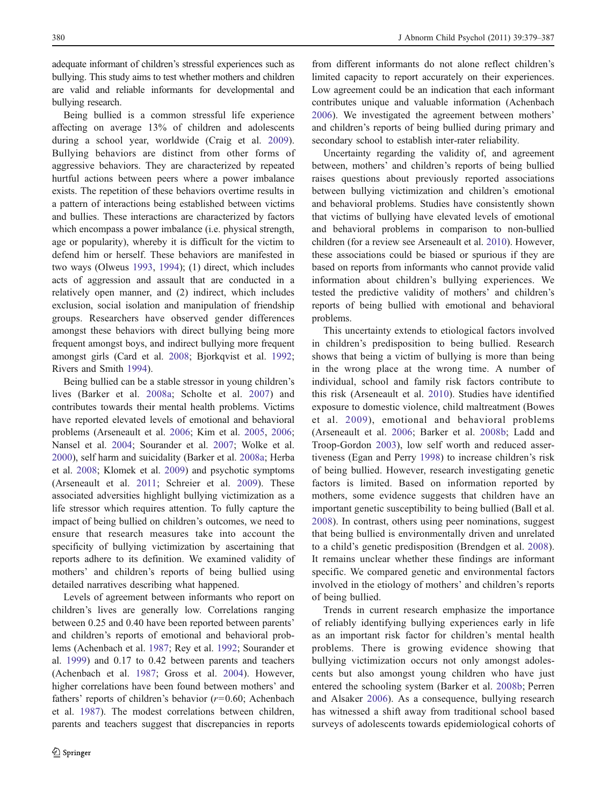adequate informant of children's stressful experiences such as bullying. This study aims to test whether mothers and children are valid and reliable informants for developmental and bullying research.

Being bullied is a common stressful life experience affecting on average 13% of children and adolescents during a school year, worldwide (Craig et al. [2009](#page-7-0)). Bullying behaviors are distinct from other forms of aggressive behaviors. They are characterized by repeated hurtful actions between peers where a power imbalance exists. The repetition of these behaviors overtime results in a pattern of interactions being established between victims and bullies. These interactions are characterized by factors which encompass a power imbalance (i.e. physical strength, age or popularity), whereby it is difficult for the victim to defend him or herself. These behaviors are manifested in two ways (Olweus [1993](#page-8-0), [1994\)](#page-8-0); (1) direct, which includes acts of aggression and assault that are conducted in a relatively open manner, and (2) indirect, which includes exclusion, social isolation and manipulation of friendship groups. Researchers have observed gender differences amongst these behaviors with direct bullying being more frequent amongst boys, and indirect bullying more frequent amongst girls (Card et al. [2008;](#page-7-0) Bjorkqvist et al. [1992](#page-7-0); Rivers and Smith [1994\)](#page-8-0).

Being bullied can be a stable stressor in young children's lives (Barker et al. [2008a;](#page-7-0) Scholte et al. [2007\)](#page-8-0) and contributes towards their mental health problems. Victims have reported elevated levels of emotional and behavioral problems (Arseneault et al. [2006;](#page-7-0) Kim et al. [2005,](#page-7-0) [2006](#page-7-0); Nansel et al. [2004;](#page-8-0) Sourander et al. [2007](#page-8-0); Wolke et al. [2000\)](#page-8-0), self harm and suicidality (Barker et al. [2008a;](#page-7-0) Herba et al. [2008](#page-7-0); Klomek et al. [2009\)](#page-7-0) and psychotic symptoms (Arseneault et al. [2011;](#page-7-0) Schreier et al. [2009\)](#page-8-0). These associated adversities highlight bullying victimization as a life stressor which requires attention. To fully capture the impact of being bullied on children's outcomes, we need to ensure that research measures take into account the specificity of bullying victimization by ascertaining that reports adhere to its definition. We examined validity of mothers' and children's reports of being bullied using detailed narratives describing what happened.

Levels of agreement between informants who report on children's lives are generally low. Correlations ranging between 0.25 and 0.40 have been reported between parents' and children's reports of emotional and behavioral problems (Achenbach et al. [1987;](#page-7-0) Rey et al. [1992;](#page-8-0) Sourander et al. [1999](#page-8-0)) and 0.17 to 0.42 between parents and teachers (Achenbach et al. [1987](#page-7-0); Gross et al. [2004](#page-7-0)). However, higher correlations have been found between mothers' and fathers' reports of children's behavior  $(r=0.60;$  Achenbach et al. [1987](#page-7-0)). The modest correlations between children, parents and teachers suggest that discrepancies in reports

from different informants do not alone reflect children's limited capacity to report accurately on their experiences. Low agreement could be an indication that each informant contributes unique and valuable information (Achenbach [2006](#page-7-0)). We investigated the agreement between mothers' and children's reports of being bullied during primary and secondary school to establish inter-rater reliability.

Uncertainty regarding the validity of, and agreement between, mothers' and children's reports of being bullied raises questions about previously reported associations between bullying victimization and children's emotional and behavioral problems. Studies have consistently shown that victims of bullying have elevated levels of emotional and behavioral problems in comparison to non-bullied children (for a review see Arseneault et al. [2010](#page-7-0)). However, these associations could be biased or spurious if they are based on reports from informants who cannot provide valid information about children's bullying experiences. We tested the predictive validity of mothers' and children's reports of being bullied with emotional and behavioral problems.

This uncertainty extends to etiological factors involved in children's predisposition to being bullied. Research shows that being a victim of bullying is more than being in the wrong place at the wrong time. A number of individual, school and family risk factors contribute to this risk (Arseneault et al. [2010\)](#page-7-0). Studies have identified exposure to domestic violence, child maltreatment (Bowes et al. [2009](#page-7-0)), emotional and behavioral problems (Arseneault et al. [2006;](#page-7-0) Barker et al. [2008b;](#page-7-0) Ladd and Troop-Gordon [2003](#page-8-0)), low self worth and reduced assertiveness (Egan and Perry [1998](#page-7-0)) to increase children's risk of being bullied. However, research investigating genetic factors is limited. Based on information reported by mothers, some evidence suggests that children have an important genetic susceptibility to being bullied (Ball et al. [2008](#page-7-0)). In contrast, others using peer nominations, suggest that being bullied is environmentally driven and unrelated to a child's genetic predisposition (Brendgen et al. [2008](#page-7-0)). It remains unclear whether these findings are informant specific. We compared genetic and environmental factors involved in the etiology of mothers' and children's reports of being bullied.

Trends in current research emphasize the importance of reliably identifying bullying experiences early in life as an important risk factor for children's mental health problems. There is growing evidence showing that bullying victimization occurs not only amongst adolescents but also amongst young children who have just entered the schooling system (Barker et al. [2008b;](#page-7-0) Perren and Alsaker [2006\)](#page-8-0). As a consequence, bullying research has witnessed a shift away from traditional school based surveys of adolescents towards epidemiological cohorts of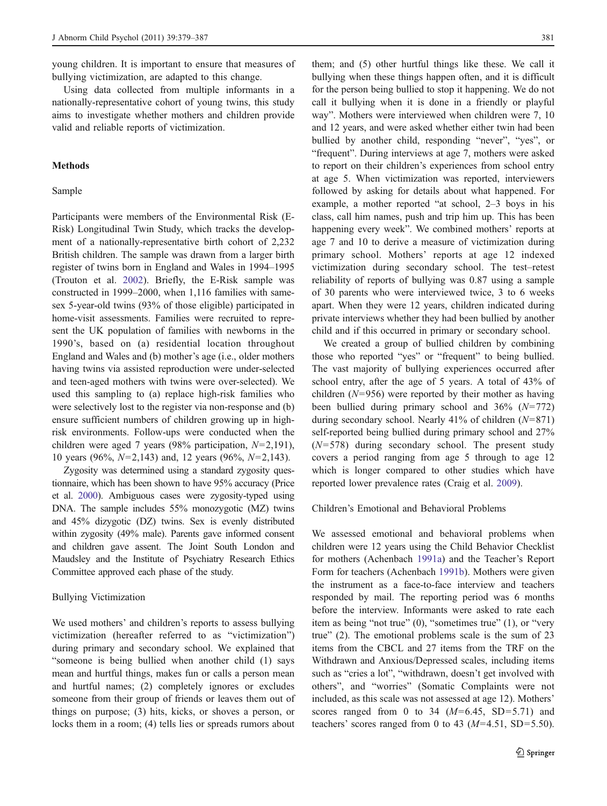young children. It is important to ensure that measures of bullying victimization, are adapted to this change.

Using data collected from multiple informants in a nationally-representative cohort of young twins, this study aims to investigate whether mothers and children provide valid and reliable reports of victimization.

# Methods

#### Sample

Participants were members of the Environmental Risk (E-Risk) Longitudinal Twin Study, which tracks the development of a nationally-representative birth cohort of 2,232 British children. The sample was drawn from a larger birth register of twins born in England and Wales in 1994–1995 (Trouton et al. [2002\)](#page-8-0). Briefly, the E-Risk sample was constructed in 1999–2000, when 1,116 families with samesex 5-year-old twins (93% of those eligible) participated in home-visit assessments. Families were recruited to represent the UK population of families with newborns in the 1990's, based on (a) residential location throughout England and Wales and (b) mother's age (i.e., older mothers having twins via assisted reproduction were under-selected and teen-aged mothers with twins were over-selected). We used this sampling to (a) replace high-risk families who were selectively lost to the register via non-response and (b) ensure sufficient numbers of children growing up in highrisk environments. Follow-ups were conducted when the children were aged 7 years (98% participation,  $N=2,191$ ), 10 years (96%,  $N=2,143$ ) and, 12 years (96%,  $N=2,143$ ).

Zygosity was determined using a standard zygosity questionnaire, which has been shown to have 95% accuracy (Price et al. [2000\)](#page-8-0). Ambiguous cases were zygosity-typed using DNA. The sample includes 55% monozygotic (MZ) twins and 45% dizygotic (DZ) twins. Sex is evenly distributed within zygosity (49% male). Parents gave informed consent and children gave assent. The Joint South London and Maudsley and the Institute of Psychiatry Research Ethics Committee approved each phase of the study.

#### Bullying Victimization

We used mothers' and children's reports to assess bullying victimization (hereafter referred to as "victimization") during primary and secondary school. We explained that "someone is being bullied when another child (1) says mean and hurtful things, makes fun or calls a person mean and hurtful names; (2) completely ignores or excludes someone from their group of friends or leaves them out of things on purpose; (3) hits, kicks, or shoves a person, or locks them in a room; (4) tells lies or spreads rumors about

them; and (5) other hurtful things like these. We call it bullying when these things happen often, and it is difficult for the person being bullied to stop it happening. We do not call it bullying when it is done in a friendly or playful way". Mothers were interviewed when children were 7, 10 and 12 years, and were asked whether either twin had been bullied by another child, responding "never", "yes", or "frequent". During interviews at age 7, mothers were asked to report on their children's experiences from school entry at age 5. When victimization was reported, interviewers followed by asking for details about what happened. For example, a mother reported "at school, 2–3 boys in his class, call him names, push and trip him up. This has been happening every week". We combined mothers' reports at age 7 and 10 to derive a measure of victimization during primary school. Mothers' reports at age 12 indexed victimization during secondary school. The test–retest reliability of reports of bullying was 0.87 using a sample of 30 parents who were interviewed twice, 3 to 6 weeks apart. When they were 12 years, children indicated during private interviews whether they had been bullied by another child and if this occurred in primary or secondary school.

We created a group of bullied children by combining those who reported "yes" or "frequent" to being bullied. The vast majority of bullying experiences occurred after school entry, after the age of 5 years. A total of 43% of children  $(N=956)$  were reported by their mother as having been bullied during primary school and  $36\%$  ( $N=772$ ) during secondary school. Nearly 41% of children  $(N=871)$ self-reported being bullied during primary school and 27%  $(N=578)$  during secondary school. The present study covers a period ranging from age 5 through to age 12 which is longer compared to other studies which have reported lower prevalence rates (Craig et al. [2009](#page-7-0)).

### Children's Emotional and Behavioral Problems

We assessed emotional and behavioral problems when children were 12 years using the Child Behavior Checklist for mothers (Achenbach [1991a\)](#page-7-0) and the Teacher's Report Form for teachers (Achenbach [1991b\)](#page-7-0). Mothers were given the instrument as a face-to-face interview and teachers responded by mail. The reporting period was 6 months before the interview. Informants were asked to rate each item as being "not true" (0), "sometimes true" (1), or "very true" (2). The emotional problems scale is the sum of 23 items from the CBCL and 27 items from the TRF on the Withdrawn and Anxious/Depressed scales, including items such as "cries a lot", "withdrawn, doesn't get involved with others", and "worries" (Somatic Complaints were not included, as this scale was not assessed at age 12). Mothers' scores ranged from 0 to 34  $(M=6.45, SD=5.71)$  and teachers' scores ranged from 0 to 43  $(M=4.51, SD=5.50)$ .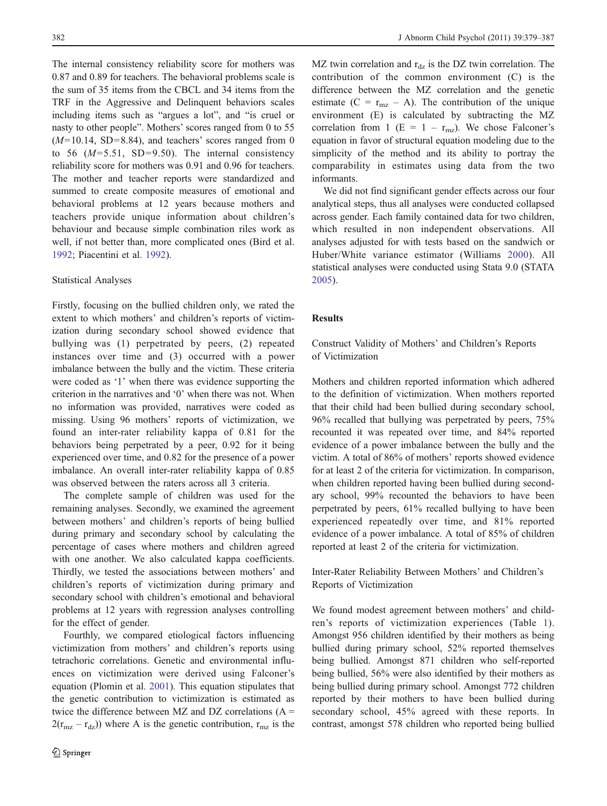The internal consistency reliability score for mothers was 0.87 and 0.89 for teachers. The behavioral problems scale is the sum of 35 items from the CBCL and 34 items from the TRF in the Aggressive and Delinquent behaviors scales including items such as "argues a lot", and "is cruel or nasty to other people". Mothers' scores ranged from 0 to 55  $(M=10.14, SD=8.84)$ , and teachers' scores ranged from 0 to 56  $(M=5.51, SD=9.50)$ . The internal consistency reliability score for mothers was 0.91 and 0.96 for teachers. The mother and teacher reports were standardized and summed to create composite measures of emotional and behavioral problems at 12 years because mothers and teachers provide unique information about children's behaviour and because simple combination riles work as well, if not better than, more complicated ones (Bird et al. [1992;](#page-7-0) Piacentini et al. [1992\)](#page-8-0).

#### Statistical Analyses

Firstly, focusing on the bullied children only, we rated the extent to which mothers' and children's reports of victimization during secondary school showed evidence that bullying was (1) perpetrated by peers, (2) repeated instances over time and (3) occurred with a power imbalance between the bully and the victim. These criteria were coded as '1' when there was evidence supporting the criterion in the narratives and '0' when there was not. When no information was provided, narratives were coded as missing. Using 96 mothers' reports of victimization, we found an inter-rater reliability kappa of 0.81 for the behaviors being perpetrated by a peer, 0.92 for it being experienced over time, and 0.82 for the presence of a power imbalance. An overall inter-rater reliability kappa of 0.85 was observed between the raters across all 3 criteria.

The complete sample of children was used for the remaining analyses. Secondly, we examined the agreement between mothers' and children's reports of being bullied during primary and secondary school by calculating the percentage of cases where mothers and children agreed with one another. We also calculated kappa coefficients. Thirdly, we tested the associations between mothers' and children's reports of victimization during primary and secondary school with children's emotional and behavioral problems at 12 years with regression analyses controlling for the effect of gender.

Fourthly, we compared etiological factors influencing victimization from mothers' and children's reports using tetrachoric correlations. Genetic and environmental influences on victimization were derived using Falconer's equation (Plomin et al. [2001\)](#page-8-0). This equation stipulates that the genetic contribution to victimization is estimated as twice the difference between MZ and DZ correlations  $(A =$  $2(r_{\text{mz}} - r_{\text{dz}})$ ) where A is the genetic contribution,  $r_{\text{mz}}$  is the MZ twin correlation and  $r_{\rm dz}$  is the DZ twin correlation. The contribution of the common environment (C) is the difference between the MZ correlation and the genetic estimate ( $C = r_{\text{mz}} - A$ ). The contribution of the unique environment (E) is calculated by subtracting the MZ correlation from 1 (E =  $1 - r_{\text{mz}}$ ). We chose Falconer's equation in favor of structural equation modeling due to the simplicity of the method and its ability to portray the comparability in estimates using data from the two informants.

We did not find significant gender effects across our four analytical steps, thus all analyses were conducted collapsed across gender. Each family contained data for two children, which resulted in non independent observations. All analyses adjusted for with tests based on the sandwich or Huber/White variance estimator (Williams [2000\)](#page-8-0). All statistical analyses were conducted using Stata 9.0 (STATA [2005](#page-8-0)).

#### Results

Construct Validity of Mothers' and Children's Reports of Victimization

Mothers and children reported information which adhered to the definition of victimization. When mothers reported that their child had been bullied during secondary school, 96% recalled that bullying was perpetrated by peers, 75% recounted it was repeated over time, and 84% reported evidence of a power imbalance between the bully and the victim. A total of 86% of mothers' reports showed evidence for at least 2 of the criteria for victimization. In comparison, when children reported having been bullied during secondary school, 99% recounted the behaviors to have been perpetrated by peers, 61% recalled bullying to have been experienced repeatedly over time, and 81% reported evidence of a power imbalance. A total of 85% of children reported at least 2 of the criteria for victimization.

Inter-Rater Reliability Between Mothers' and Children's Reports of Victimization

We found modest agreement between mothers' and children's reports of victimization experiences (Table [1](#page-4-0)). Amongst 956 children identified by their mothers as being bullied during primary school, 52% reported themselves being bullied. Amongst 871 children who self-reported being bullied, 56% were also identified by their mothers as being bullied during primary school. Amongst 772 children reported by their mothers to have been bullied during secondary school, 45% agreed with these reports. In contrast, amongst 578 children who reported being bullied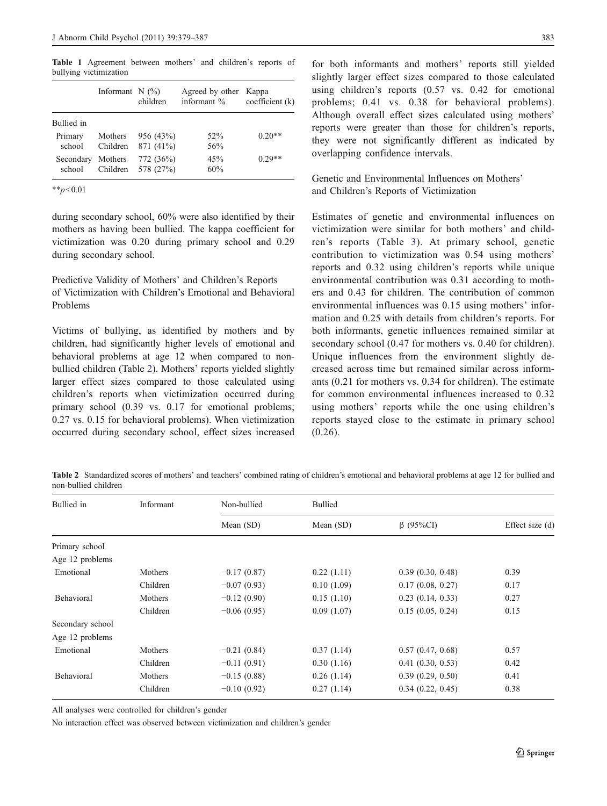<span id="page-4-0"></span>Table 1 Agreement between mothers' and children's reports of bullying victimization

|            | Informant $N(\%)$ | children  | Agreed by other<br>informant $\%$ | Kappa<br>coefficient (k) |
|------------|-------------------|-----------|-----------------------------------|--------------------------|
| Bullied in |                   |           |                                   |                          |
| Primary    | <b>Mothers</b>    | 956 (43%) | 52%                               | $0.20**$                 |
| school     | Children          | 871 (41%) | 56%                               |                          |
| Secondary  | Mothers           | 772 (36%) | 45%                               | $0.29**$                 |
| school     | Children          | 578 (27%) | 60%                               |                          |

 $*p<0.01$ 

during secondary school, 60% were also identified by their mothers as having been bullied. The kappa coefficient for victimization was 0.20 during primary school and 0.29 during secondary school.

Predictive Validity of Mothers' and Children's Reports of Victimization with Children's Emotional and Behavioral Problems

Victims of bullying, as identified by mothers and by children, had significantly higher levels of emotional and behavioral problems at age 12 when compared to nonbullied children (Table 2). Mothers' reports yielded slightly larger effect sizes compared to those calculated using children's reports when victimization occurred during primary school (0.39 vs. 0.17 for emotional problems; 0.27 vs. 0.15 for behavioral problems). When victimization occurred during secondary school, effect sizes increased

for both informants and mothers' reports still yielded slightly larger effect sizes compared to those calculated using children's reports (0.57 vs. 0.42 for emotional problems; 0.41 vs. 0.38 for behavioral problems). Although overall effect sizes calculated using mothers' reports were greater than those for children's reports, they were not significantly different as indicated by overlapping confidence intervals.

Genetic and Environmental Influences on Mothers' and Children's Reports of Victimization

Estimates of genetic and environmental influences on victimization were similar for both mothers' and children's reports (Table [3\)](#page-5-0). At primary school, genetic contribution to victimization was 0.54 using mothers' reports and 0.32 using children's reports while unique environmental contribution was 0.31 according to mothers and 0.43 for children. The contribution of common environmental influences was 0.15 using mothers' information and 0.25 with details from children's reports. For both informants, genetic influences remained similar at secondary school (0.47 for mothers vs. 0.40 for children). Unique influences from the environment slightly decreased across time but remained similar across informants (0.21 for mothers vs. 0.34 for children). The estimate for common environmental influences increased to 0.32 using mothers' reports while the one using children's reports stayed close to the estimate in primary school  $(0.26)$ .

Table 2 Standardized scores of mothers' and teachers' combined rating of children's emotional and behavioral problems at age 12 for bullied and non-bullied children

| Bullied in       | Informant      | Non-bullied   | <b>Bullied</b> |                  |                   |
|------------------|----------------|---------------|----------------|------------------|-------------------|
|                  |                | Mean (SD)     | Mean (SD)      | $\beta$ (95%CI)  | Effect size $(d)$ |
| Primary school   |                |               |                |                  |                   |
| Age 12 problems  |                |               |                |                  |                   |
| Emotional        | <b>Mothers</b> | $-0.17(0.87)$ | 0.22(1.11)     | 0.39(0.30, 0.48) | 0.39              |
|                  | Children       | $-0.07(0.93)$ | 0.10(1.09)     | 0.17(0.08, 0.27) | 0.17              |
| Behavioral       | Mothers        | $-0.12(0.90)$ | 0.15(1.10)     | 0.23(0.14, 0.33) | 0.27              |
|                  | Children       | $-0.06(0.95)$ | 0.09(1.07)     | 0.15(0.05, 0.24) | 0.15              |
| Secondary school |                |               |                |                  |                   |
| Age 12 problems  |                |               |                |                  |                   |
| Emotional        | Mothers        | $-0.21(0.84)$ | 0.37(1.14)     | 0.57(0.47, 0.68) | 0.57              |
|                  | Children       | $-0.11(0.91)$ | 0.30(1.16)     | 0.41(0.30, 0.53) | 0.42              |
| Behavioral       | Mothers        | $-0.15(0.88)$ | 0.26(1.14)     | 0.39(0.29, 0.50) | 0.41              |
|                  | Children       | $-0.10(0.92)$ | 0.27(1.14)     | 0.34(0.22, 0.45) | 0.38              |

All analyses were controlled for children's gender

No interaction effect was observed between victimization and children's gender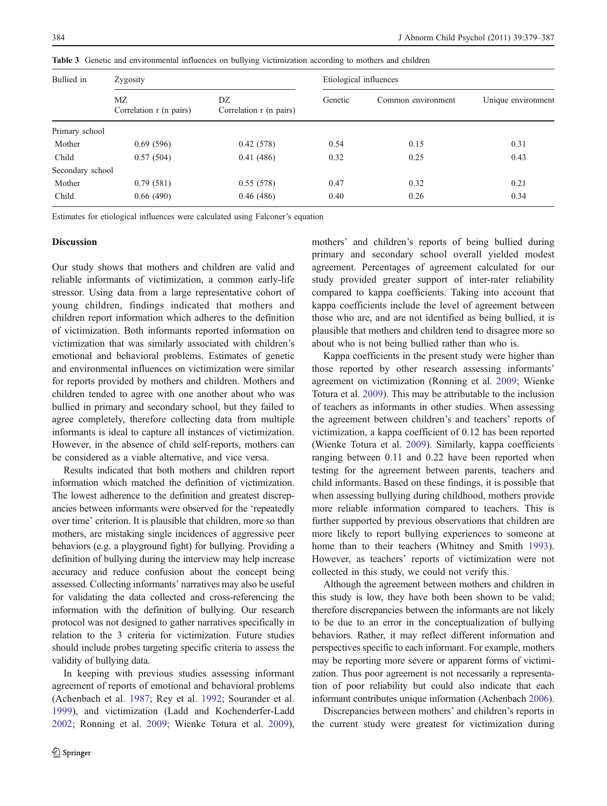<span id="page-5-0"></span>Table 3 Genetic and environmental influences on bullying victimization according to mothers and children

| Bullied in       | Zygosity                      |                               | Etiological influences |                    |                    |
|------------------|-------------------------------|-------------------------------|------------------------|--------------------|--------------------|
|                  | МZ<br>Correlation r (n pairs) | DZ<br>Correlation r (n pairs) | Genetic                | Common environment | Unique environment |
| Primary school   |                               |                               |                        |                    |                    |
| Mother           | 0.69(596)                     | 0.42(578)                     | 0.54                   | 0.15               | 0.31               |
| Child            | 0.57(504)                     | 0.41(486)                     | 0.32                   | 0.25               | 0.43               |
| Secondary school |                               |                               |                        |                    |                    |
| Mother           | 0.79(581)                     | 0.55(578)                     | 0.47                   | 0.32               | 0.21               |
| Child            | 0.66(490)                     | 0.46(486)                     | 0.40                   | 0.26               | 0.34               |

Estimates for etiological influences were calculated using Falconer's equation

## Discussion

Our study shows that mothers and children are valid and reliable informants of victimization, a common early-life stressor. Using data from a large representative cohort of young children, findings indicated that mothers and children report information which adheres to the definition of victimization. Both informants reported information on victimization that was similarly associated with children's emotional and behavioral problems. Estimates of genetic and environmental influences on victimization were similar for reports provided by mothers and children. Mothers and children tended to agree with one another about who was bullied in primary and secondary school, but they failed to agree completely, therefore collecting data from multiple informants is ideal to capture all instances of victimization. However, in the absence of child self-reports, mothers can be considered as a viable alternative, and vice versa.

Results indicated that both mothers and children report information which matched the definition of victimization. The lowest adherence to the definition and greatest discrepancies between informants were observed for the 'repeatedly over time' criterion. It is plausible that children, more so than mothers, are mistaking single incidences of aggressive peer behaviors (e.g. a playground fight) for bullying. Providing a definition of bullying during the interview may help increase accuracy and reduce confusion about the concept being assessed. Collecting informants' narratives may also be useful for validating the data collected and cross-referencing the information with the definition of bullying. Our research protocol was not designed to gather narratives specifically in relation to the 3 criteria for victimization. Future studies should include probes targeting specific criteria to assess the validity of bullying data.

In keeping with previous studies assessing informant agreement of reports of emotional and behavioral problems (Achenbach et al. [1987;](#page-7-0) Rey et al. [1992;](#page-8-0) Sourander et al. [1999\)](#page-8-0), and victimization (Ladd and Kochenderfer-Ladd [2002;](#page-8-0) Ronning et al. [2009;](#page-8-0) Wienke Totura et al. [2009](#page-8-0)), mothers' and children's reports of being bullied during primary and secondary school overall yielded modest agreement. Percentages of agreement calculated for our study provided greater support of inter-rater reliability compared to kappa coefficients. Taking into account that kappa coefficients include the level of agreement between those who are, and are not identified as being bullied, it is plausible that mothers and children tend to disagree more so about who is not being bullied rather than who is.

Kappa coefficients in the present study were higher than those reported by other research assessing informants' agreement on victimization (Ronning et al. [2009](#page-8-0); Wienke Totura et al. [2009\)](#page-8-0). This may be attributable to the inclusion of teachers as informants in other studies. When assessing the agreement between children's and teachers' reports of victimization, a kappa coefficient of 0.12 has been reported (Wienke Totura et al. [2009](#page-8-0)). Similarly, kappa coefficients ranging between 0.11 and 0.22 have been reported when testing for the agreement between parents, teachers and child informants. Based on these findings, it is possible that when assessing bullying during childhood, mothers provide more reliable information compared to teachers. This is further supported by previous observations that children are more likely to report bullying experiences to someone at home than to their teachers (Whitney and Smith [1993\)](#page-8-0). However, as teachers' reports of victimization were not collected in this study, we could not verify this.

Although the agreement between mothers and children in this study is low, they have both been shown to be valid; therefore discrepancies between the informants are not likely to be due to an error in the conceptualization of bullying behaviors. Rather, it may reflect different information and perspectives specific to each informant. For example, mothers may be reporting more severe or apparent forms of victimization. Thus poor agreement is not necessarily a representation of poor reliability but could also indicate that each informant contributes unique information (Achenbach [2006\)](#page-7-0).

Discrepancies between mothers' and children's reports in the current study were greatest for victimization during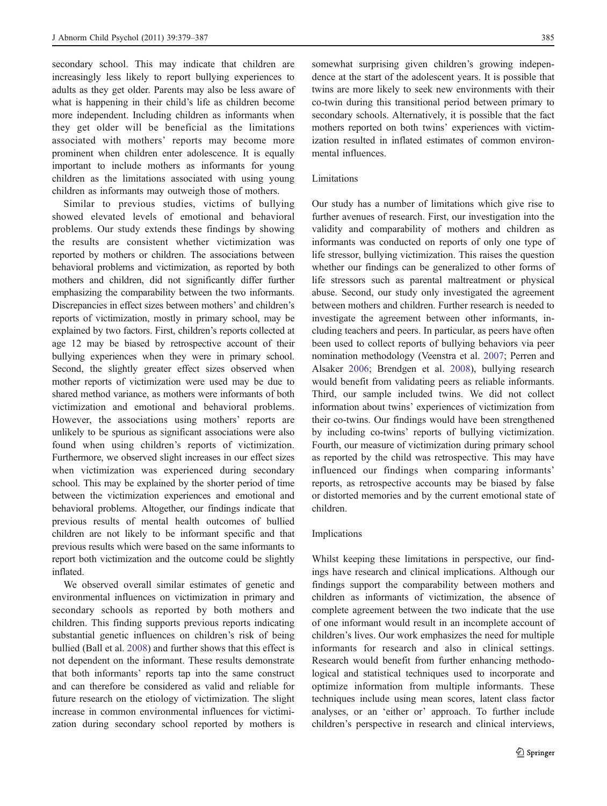secondary school. This may indicate that children are increasingly less likely to report bullying experiences to adults as they get older. Parents may also be less aware of what is happening in their child's life as children become more independent. Including children as informants when they get older will be beneficial as the limitations associated with mothers' reports may become more prominent when children enter adolescence. It is equally important to include mothers as informants for young children as the limitations associated with using young children as informants may outweigh those of mothers.

Similar to previous studies, victims of bullying showed elevated levels of emotional and behavioral problems. Our study extends these findings by showing the results are consistent whether victimization was reported by mothers or children. The associations between behavioral problems and victimization, as reported by both mothers and children, did not significantly differ further emphasizing the comparability between the two informants. Discrepancies in effect sizes between mothers' and children's reports of victimization, mostly in primary school, may be explained by two factors. First, children's reports collected at age 12 may be biased by retrospective account of their bullying experiences when they were in primary school. Second, the slightly greater effect sizes observed when mother reports of victimization were used may be due to shared method variance, as mothers were informants of both victimization and emotional and behavioral problems. However, the associations using mothers' reports are unlikely to be spurious as significant associations were also found when using children's reports of victimization. Furthermore, we observed slight increases in our effect sizes when victimization was experienced during secondary school. This may be explained by the shorter period of time between the victimization experiences and emotional and behavioral problems. Altogether, our findings indicate that previous results of mental health outcomes of bullied children are not likely to be informant specific and that previous results which were based on the same informants to report both victimization and the outcome could be slightly inflated.

We observed overall similar estimates of genetic and environmental influences on victimization in primary and secondary schools as reported by both mothers and children. This finding supports previous reports indicating substantial genetic influences on children's risk of being bullied (Ball et al. [2008\)](#page-7-0) and further shows that this effect is not dependent on the informant. These results demonstrate that both informants' reports tap into the same construct and can therefore be considered as valid and reliable for future research on the etiology of victimization. The slight increase in common environmental influences for victimization during secondary school reported by mothers is

somewhat surprising given children's growing independence at the start of the adolescent years. It is possible that twins are more likely to seek new environments with their co-twin during this transitional period between primary to secondary schools. Alternatively, it is possible that the fact mothers reported on both twins' experiences with victimization resulted in inflated estimates of common environmental influences.

## Limitations

Our study has a number of limitations which give rise to further avenues of research. First, our investigation into the validity and comparability of mothers and children as informants was conducted on reports of only one type of life stressor, bullying victimization. This raises the question whether our findings can be generalized to other forms of life stressors such as parental maltreatment or physical abuse. Second, our study only investigated the agreement between mothers and children. Further research is needed to investigate the agreement between other informants, including teachers and peers. In particular, as peers have often been used to collect reports of bullying behaviors via peer nomination methodology (Veenstra et al. [2007;](#page-8-0) Perren and Alsaker [2006](#page-8-0); Brendgen et al. [2008\)](#page-7-0), bullying research would benefit from validating peers as reliable informants. Third, our sample included twins. We did not collect information about twins' experiences of victimization from their co-twins. Our findings would have been strengthened by including co-twins' reports of bullying victimization. Fourth, our measure of victimization during primary school as reported by the child was retrospective. This may have influenced our findings when comparing informants' reports, as retrospective accounts may be biased by false or distorted memories and by the current emotional state of children.

#### Implications

Whilst keeping these limitations in perspective, our findings have research and clinical implications. Although our findings support the comparability between mothers and children as informants of victimization, the absence of complete agreement between the two indicate that the use of one informant would result in an incomplete account of children's lives. Our work emphasizes the need for multiple informants for research and also in clinical settings. Research would benefit from further enhancing methodological and statistical techniques used to incorporate and optimize information from multiple informants. These techniques include using mean scores, latent class factor analyses, or an 'either or' approach. To further include children's perspective in research and clinical interviews,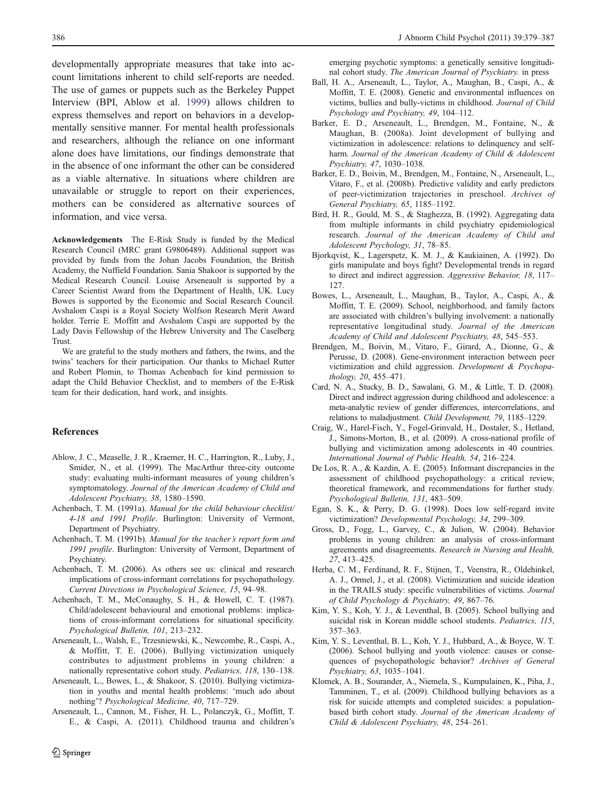<span id="page-7-0"></span>developmentally appropriate measures that take into account limitations inherent to child self-reports are needed. The use of games or puppets such as the Berkeley Puppet Interview (BPI, Ablow et al. 1999) allows children to express themselves and report on behaviors in a developmentally sensitive manner. For mental health professionals and researchers, although the reliance on one informant alone does have limitations, our findings demonstrate that in the absence of one informant the other can be considered as a viable alternative. In situations where children are unavailable or struggle to report on their experiences, mothers can be considered as alternative sources of information, and vice versa.

Acknowledgements The E-Risk Study is funded by the Medical Research Council (MRC grant G9806489). Additional support was provided by funds from the Johan Jacobs Foundation, the British Academy, the Nuffield Foundation. Sania Shakoor is supported by the Medical Research Council. Louise Arseneault is supported by a Career Scientist Award from the Department of Health, UK. Lucy Bowes is supported by the Economic and Social Research Council. Avshalom Caspi is a Royal Society Wolfson Research Merit Award holder. Terrie E. Moffitt and Avshalom Caspi are supported by the Lady Davis Fellowship of the Hebrew University and The Caselberg Trust.

We are grateful to the study mothers and fathers, the twins, and the twins' teachers for their participation. Our thanks to Michael Rutter and Robert Plomin, to Thomas Achenbach for kind permission to adapt the Child Behavior Checklist, and to members of the E-Risk team for their dedication, hard work, and insights.

#### References

- Ablow, J. C., Measelle, J. R., Kraemer, H. C., Harrington, R., Luby, J., Smider, N., et al. (1999). The MacArthur three-city outcome study: evaluating multi-informant measures of young children's symptomatology. Journal of the American Academy of Child and Adolescent Psychiatry, 38, 1580–1590.
- Achenbach, T. M. (1991a). Manual for the child behaviour checklist/ 4-18 and 1991 Profile. Burlington: University of Vermont, Department of Psychiatry.
- Achenbach, T. M. (1991b). Manual for the teacher's report form and 1991 profile. Burlington: University of Vermont, Department of Psychiatry.
- Achenbach, T. M. (2006). As others see us: clinical and research implications of cross-informant correlations for psychopathology. Current Directions in Psychological Science, 15, 94–98.
- Achenbach, T. M., McConaughy, S. H., & Howell, C. T. (1987). Child/adolescent behavioural and emotional problems: implications of cross-informant correlations for situational specificity. Psychological Bulletin, 101, 213–232.
- Arseneault, L., Walsh, E., Trzesniewski, K., Newcombe, R., Caspi, A., & Moffitt, T. E. (2006). Bullying victimization uniquely contributes to adjustment problems in young children: a nationally representative cohort study. Pediatrics, 118, 130–138.
- Arseneault, L., Bowes, L., & Shakoor, S. (2010). Bullying victimization in youths and mental health problems: 'much ado about nothing'? Psychological Medicine, 40, 717–729.
- Arseneault, L., Cannon, M., Fisher, H. L., Polanczyk, G., Moffitt, T. E., & Caspi, A. (2011). Childhood trauma and children's

emerging psychotic symptoms: a genetically sensitive longitudinal cohort study. The American Journal of Psychiatry. in press

- Ball, H. A., Arseneault, L., Taylor, A., Maughan, B., Caspi, A., & Moffitt, T. E. (2008). Genetic and environmental influences on victims, bullies and bully-victims in childhood. Journal of Child Psychology and Psychiatry, 49, 104–112.
- Barker, E. D., Arseneault, L., Brendgen, M., Fontaine, N., & Maughan, B. (2008a). Joint development of bullying and victimization in adolescence: relations to delinquency and selfharm. Journal of the American Academy of Child & Adolescent Psychiatry, 47, 1030–1038.
- Barker, E. D., Boivin, M., Brendgen, M., Fontaine, N., Arseneault, L., Vitaro, F., et al. (2008b). Predictive validity and early predictors of peer-victimization trajectories in preschool. Archives of General Psychiatry, 65, 1185–1192.
- Bird, H. R., Gould, M. S., & Staghezza, B. (1992). Aggregating data from multiple informants in child psychiatry epidemiological research. Journal of the American Academy of Child and Adolescent Psychology, 31, 78–85.
- Bjorkqvist, K., Lagerspetz, K. M. J., & Kaukiainen, A. (1992). Do girls manipulate and boys fight? Developmental trends in regard to direct and indirect aggression. Aggressive Behavior, 18, 117– 127.
- Bowes, L., Arseneault, L., Maughan, B., Taylor, A., Caspi, A., & Moffitt, T. E. (2009). School, neighborhood, and family factors are associated with children's bullying involvement: a nationally representative longitudinal study. Journal of the American Academy of Child and Adolescent Psychiatry, 48, 545–553.
- Brendgen, M., Boivin, M., Vitaro, F., Girard, A., Dionne, G., & Perusse, D. (2008). Gene-environment interaction between peer victimization and child aggression. Development & Psychopathology, 20, 455–471.
- Card, N. A., Stucky, B. D., Sawalani, G. M., & Little, T. D. (2008). Direct and indirect aggression during childhood and adolescence: a meta-analytic review of gender differences, intercorrelations, and relations to maladjustment. Child Development, 79, 1185–1229.
- Craig, W., Harel-Fisch, Y., Fogel-Grinvald, H., Dostaler, S., Hetland, J., Simons-Morton, B., et al. (2009). A cross-national profile of bullying and victimization among adolescents in 40 countries. International Journal of Public Health, 54, 216–224.
- De Los, R. A., & Kazdin, A. E. (2005). Informant discrepancies in the assessment of childhood psychopathology: a critical review, theoretical framework, and recommendations for further study. Psychological Bulletin, 131, 483–509.
- Egan, S. K., & Perry, D. G. (1998). Does low self-regard invite victimization? Developmental Psychology, 34, 299–309.
- Gross, D., Fogg, L., Garvey, C., & Julion, W. (2004). Behavior problems in young children: an analysis of cross-informant agreements and disagreements. Research in Nursing and Health, 27, 413–425.
- Herba, C. M., Ferdinand, R. F., Stijnen, T., Veenstra, R., Oldehinkel, A. J., Ormel, J., et al. (2008). Victimization and suicide ideation in the TRAILS study: specific vulnerabilities of victims. Journal of Child Psychology & Psychiatry, 49, 867–76.
- Kim, Y. S., Koh, Y. J., & Leventhal, B. (2005). School bullying and suicidal risk in Korean middle school students. Pediatrics, 115, 357–363.
- Kim, Y. S., Leventhal, B. L., Koh, Y. J., Hubbard, A., & Boyce, W. T. (2006). School bullying and youth violence: causes or consequences of psychopathologic behavior? Archives of General Psychiatry, 63, 1035–1041.
- Klomek, A. B., Sourander, A., Niemela, S., Kumpulainen, K., Piha, J., Tamminen, T., et al. (2009). Childhood bullying behaviors as a risk for suicide attempts and completed suicides: a populationbased birth cohort study. Journal of the American Academy of Child & Adolescent Psychiatry, 48, 254–261.